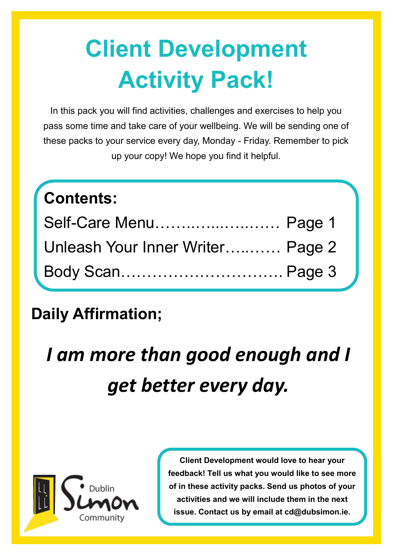# **Client Development Activity Pack!**

In this pack you will find activities, challenges and exercises to help you pass some time and take care of your wellbeing. We will be sending one of these packs to your service every day, Monday - Friday. Remember to pick up your copy! We hope you find it helpful.

### **Contents:**

| Self-Care Menu Page 1            |  |
|----------------------------------|--|
| Unleash Your Inner Writer Page 2 |  |
| Body Scan Page 3                 |  |

#### **Daily Affirmation;**

## *I am more than good enough and I get better every day.*



**Client Development would love to hear your feedback! Tell us what you would like to see more of in these activity packs. Send us photos of your activities and we will include them in the next issue. Contact us by email at cd@dubsimon.ie.**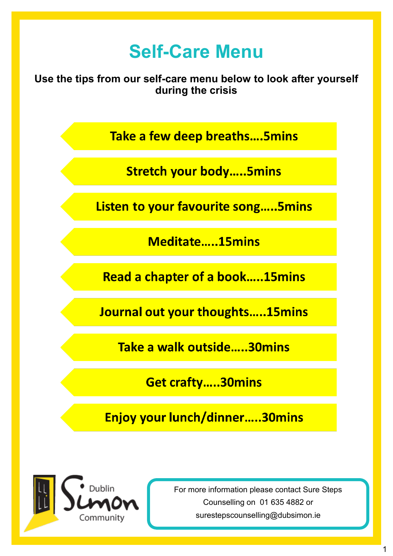#### **Self-Care Menu**

**Use the tips from our self-care menu below to look after yourself during the crisis** 

Take a few deep breaths....5mins

**Stretch your body.....5mins** 

Listen to your favourite song.....5mins

Meditate.....15mins

**Read a chapter of a book.....15mins** 

Journal out your thoughts.....15mins

Take a walk outside.....30mins

**Get crafty.....30mins** 

Enjoy your lunch/dinner.....30mins



For more information please contact Sure Steps Counselling on 01 635 4882 or surestepscounselling@dubsimon.ie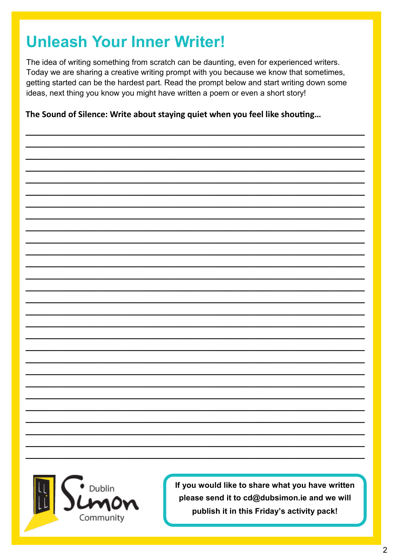#### **Unleash Your Inner Writer!**

The idea of writing something from scratch can be daunting, even for experienced writers. Today we are sharing a creative writing prompt with you because we know that sometimes, getting started can be the hardest part. Read the prompt below and start writing down some ideas, next thing you know you might have written a poem or even a short story!

The Sound of Silence: Write about staying quiet when you feel like shouting...

Dublin Community

If you would like to share what you have written please send it to cd@dubsimon.ie and we will publish it in this Friday's activity pack!